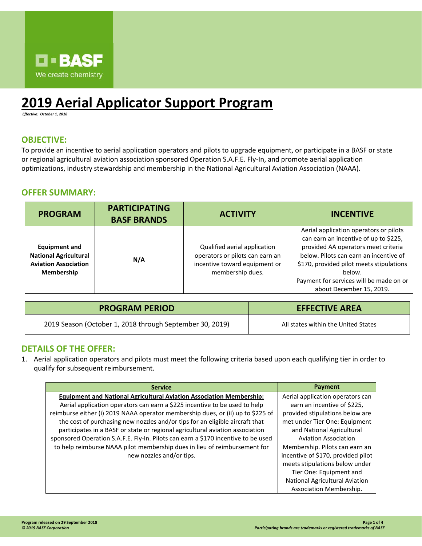

# **2019 Aerial Applicator Support Program**

*Effective: October 1, 2018*

#### **OBJECTIVE:**

To provide an incentive to aerial application operators and pilots to upgrade equipment, or participate in a BASF or state or regional agricultural aviation association sponsored Operation S.A.F.E. Fly-In, and promote aerial application optimizations, industry stewardship and membership in the National Agricultural Aviation Association (NAAA).

#### **OFFER SUMMARY:**

| <b>PROGRAM</b>                                                                                           | <b>PARTICIPATING</b><br><b>BASF BRANDS</b> | <b>ACTIVITY</b>                                                                                                      | <b>INCENTIVE</b>                                                                                                                                                                                                                                                                              |
|----------------------------------------------------------------------------------------------------------|--------------------------------------------|----------------------------------------------------------------------------------------------------------------------|-----------------------------------------------------------------------------------------------------------------------------------------------------------------------------------------------------------------------------------------------------------------------------------------------|
| <b>Equipment and</b><br><b>National Agricultural</b><br><b>Aviation Association</b><br><b>Membership</b> | N/A                                        | Qualified aerial application<br>operators or pilots can earn an<br>incentive toward equipment or<br>membership dues. | Aerial application operators or pilots<br>can earn an incentive of up to \$225,<br>provided AA operators meet criteria<br>below. Pilots can earn an incentive of<br>\$170, provided pilot meets stipulations<br>below.<br>Payment for services will be made on or<br>about December 15, 2019. |

| <b>PROGRAM PERIOD</b>                                    | <b>EFFECTIVE AREA</b>               |  |
|----------------------------------------------------------|-------------------------------------|--|
| 2019 Season (October 1, 2018 through September 30, 2019) | All states within the United States |  |

### **DETAILS OF THE OFFER:**

1. Aerial application operators and pilots must meet the following criteria based upon each qualifying tier in order to qualify for subsequent reimbursement.

| <b>Service</b>                                                                    | Payment                               |
|-----------------------------------------------------------------------------------|---------------------------------------|
| <b>Equipment and National Agricultural Aviation Association Membership:</b>       | Aerial application operators can      |
| Aerial application operators can earn a \$225 incentive to be used to help        | earn an incentive of \$225,           |
| reimburse either (i) 2019 NAAA operator membership dues, or (ii) up to \$225 of   | provided stipulations below are       |
| the cost of purchasing new nozzles and/or tips for an eligible aircraft that      | met under Tier One: Equipment         |
| participates in a BASF or state or regional agricultural aviation association     | and National Agricultural             |
| sponsored Operation S.A.F.E. Fly-In. Pilots can earn a \$170 incentive to be used | <b>Aviation Association</b>           |
| to help reimburse NAAA pilot membership dues in lieu of reimbursement for         | Membership. Pilots can earn an        |
| new nozzles and/or tips.                                                          | incentive of \$170, provided pilot    |
|                                                                                   | meets stipulations below under        |
|                                                                                   | Tier One: Equipment and               |
|                                                                                   | <b>National Agricultural Aviation</b> |
|                                                                                   | Association Membership.               |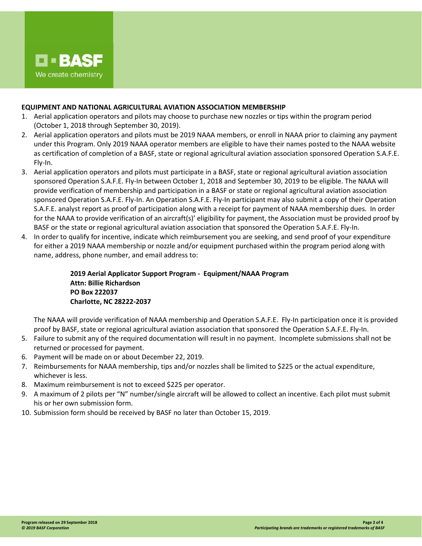

#### **EQUIPMENT AND NATIONAL AGRICULTURAL AVIATION ASSOCIATION MEMBERSHIP**

- 1. Aerial application operators and pilots may choose to purchase new nozzles or tips within the program period (October 1, 2018 through September 30, 2019).
- 2. Aerial application operators and pilots must be 2019 NAAA members, or enroll in NAAA prior to claiming any payment under this Program. Only 2019 NAAA operator members are eligible to have their names posted to the NAAA website as certification of completion of a BASF, state or regional agricultural aviation association sponsored Operation S.A.F.E. Fly-In.
- 3. Aerial application operators and pilots must participate in a BASF, state or regional agricultural aviation association sponsored Operation S.A.F.E. Fly-In between October 1, 2018 and September 30, 2019 to be eligible. The NAAA will provide verification of membership and participation in a BASF or state or regional agricultural aviation association sponsored Operation S.A.F.E. Fly-In. An Operation S.A.F.E. Fly-In participant may also submit a copy of their Operation S.A.F.E. analyst report as proof of participation along with a receipt for payment of NAAA membership dues. In order for the NAAA to provide verification of an aircraft(s)' eligibility for payment, the Association must be provided proof by BASF or the state or regional agricultural aviation association that sponsored the Operation S.A.F.E. Fly-In.
- 4. In order to qualify for incentive, indicate which reimbursement you are seeking, and send proof of your expenditure for either a 2019 NAAA membership or nozzle and/or equipment purchased within the program period along with name, address, phone number, and email address to:

**2019 Aerial Applicator Support Program - Equipment/NAAA Program Attn: Billie Richardson PO Box 222037 Charlotte, NC 28222-2037**

The NAAA will provide verification of NAAA membership and Operation S.A.F.E. Fly-In participation once it is provided proof by BASF, state or regional agricultural aviation association that sponsored the Operation S.A.F.E. Fly-In.

- 5. Failure to submit any of the required documentation will result in no payment. Incomplete submissions shall not be returned or processed for payment.
- 6. Payment will be made on or about December 22, 2019.
- 7. Reimbursements for NAAA membership, tips and/or nozzles shall be limited to \$225 or the actual expenditure, whichever is less.
- 8. Maximum reimbursement is not to exceed \$225 per operator.
- 9. A maximum of 2 pilots per "N" number/single aircraft will be allowed to collect an incentive. Each pilot must submit his or her own submission form.
- 10. Submission form should be received by BASF no later than October 15, 2019.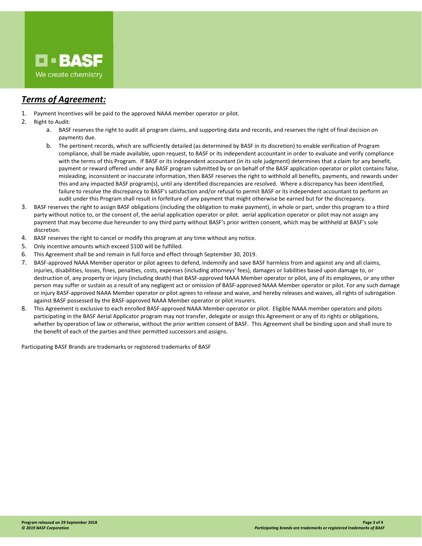

## *Terms of Agreement:*

- 1. Payment Incentives will be paid to the approved NAAA member operator or pilot.
- 2. Right to Audit:
	- a. BASF reserves the right to audit all program claims, and supporting data and records, and reserves the right of final decision on payments due.
	- b. The pertinent records, which are sufficiently detailed (as determined by BASF in its discretion) to enable verification of Program compliance, shall be made available, upon request, to BASF or its independent accountant in order to evaluate and verify compliance with the terms of this Program. If BASF or its independent accountant (in its sole judgment) determines that a claim for any benefit, payment or reward offered under any BASF program submitted by or on behalf of the BASF application operator or pilot contains false, misleading, inconsistent or inaccurate information, then BASF reserves the right to withhold all benefits, payments, and rewards under this and any impacted BASF program(s), until any identified discrepancies are resolved. Where a discrepancy has been identified, failure to resolve the discrepancy to BASF's satisfaction and/or refusal to permit BASF or its independent accountant to perform an audit under this Program shall result in forfeiture of any payment that might otherwise be earned but for the discrepancy.
- 3. BASF reserves the right to assign BASF obligations (including the obligation to make payment), in whole or part, under this program to a third party without notice to, or the consent of, the aerial application operator or pilot. aerial application operator or pilot may not assign any payment that may become due hereunder to any third party without BASF's prior written consent, which may be withheld at BASF's sole discretion.
- 4. BASF reserves the right to cancel or modify this program at any time without any notice.
- 5. Only incentive amounts which exceed \$100 will be fulfilled.
- 6. This Agreement shall be and remain in full force and effect through September 30, 2019.
- 7. BASF-approved NAAA Member operator or pilot agrees to defend, indemnify and save BASF harmless from and against any and all claims, injuries, disabilities, losses, fines, penalties, costs, expenses (including attorneys' fees), damages or liabilities based upon damage to, or destruction of, any property or injury (including death) that BASF-approved NAAA Member operator or pilot, any of its employees, or any other person may suffer or sustain as a result of any negligent act or omission of BASF-approved NAAA Member operator or pilot. For any such damage or injury BASF-approved NAAA Member operator or pilot agrees to release and waive, and hereby releases and waives, all rights of subrogation against BASF possessed by the BASF-approved NAAA Member operator or pilot insurers.
- 8. This Agreement is exclusive to each enrolled BASF-approved NAAA Member operator or pilot. Eligible NAAA member operators and pilots participating in the BASF Aerial Applicator program may not transfer, delegate or assign this Agreement or any of its rights or obligations, whether by operation of law or otherwise, without the prior written consent of BASF. This Agreement shall be binding upon and shall inure to the benefit of each of the parties and their permitted successors and assigns.

Participating BASF Brands are trademarks or registered trademarks of BASF